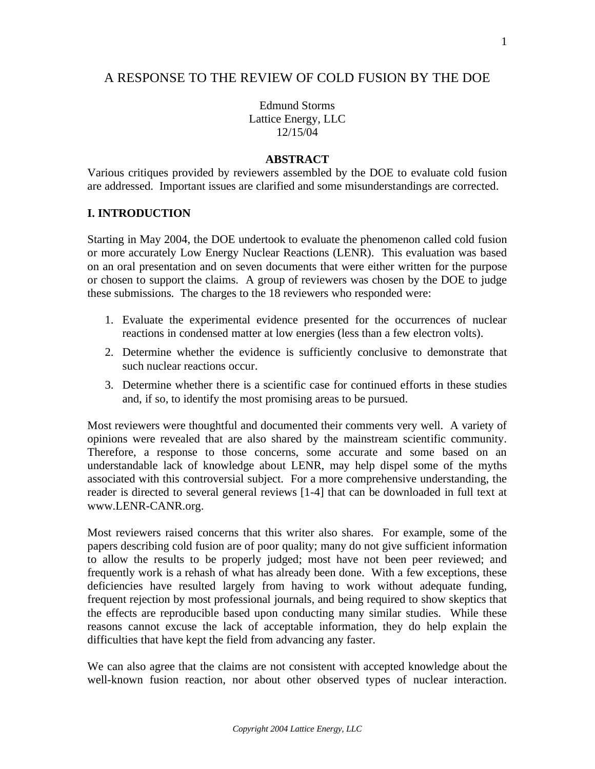# A RESPONSE TO THE REVIEW OF COLD FUSION BY THE DOE

Edmund Storms Lattice Energy, LLC 12/15/04

#### **ABSTRACT**

Various critiques provided by reviewers assembled by the DOE to evaluate cold fusion are addressed. Important issues are clarified and some misunderstandings are corrected.

## **I. INTRODUCTION**

Starting in May 2004, the DOE undertook to evaluate the phenomenon called cold fusion or more accurately Low Energy Nuclear Reactions (LENR). This evaluation was based on an oral presentation and on seven documents that were either written for the purpose or chosen to support the claims. A group of reviewers was chosen by the DOE to judge these submissions. The charges to the 18 reviewers who responded were:

- 1. Evaluate the experimental evidence presented for the occurrences of nuclear reactions in condensed matter at low energies (less than a few electron volts).
- 2. Determine whether the evidence is sufficiently conclusive to demonstrate that such nuclear reactions occur.
- 3. Determine whether there is a scientific case for continued efforts in these studies and, if so, to identify the most promising areas to be pursued.

Most reviewers were thoughtful and documented their comments very well. A variety of opinions were revealed that are also shared by the mainstream scientific community. Therefore, a response to those concerns, some accurate and some based on an understandable lack of knowledge about LENR, may help dispel some of the myths associated with this controversial subject. For a more comprehensive understanding, the reader is directed to several general reviews [1-4] that can be downloaded in full text at www.LENR-CANR.org.

Most reviewers raised concerns that this writer also shares. For example, some of the papers describing cold fusion are of poor quality; many do not give sufficient information to allow the results to be properly judged; most have not been peer reviewed; and frequently work is a rehash of what has already been done. With a few exceptions, these deficiencies have resulted largely from having to work without adequate funding, frequent rejection by most professional journals, and being required to show skeptics that the effects are reproducible based upon conducting many similar studies. While these reasons cannot excuse the lack of acceptable information, they do help explain the difficulties that have kept the field from advancing any faster.

We can also agree that the claims are not consistent with accepted knowledge about the well-known fusion reaction, nor about other observed types of nuclear interaction.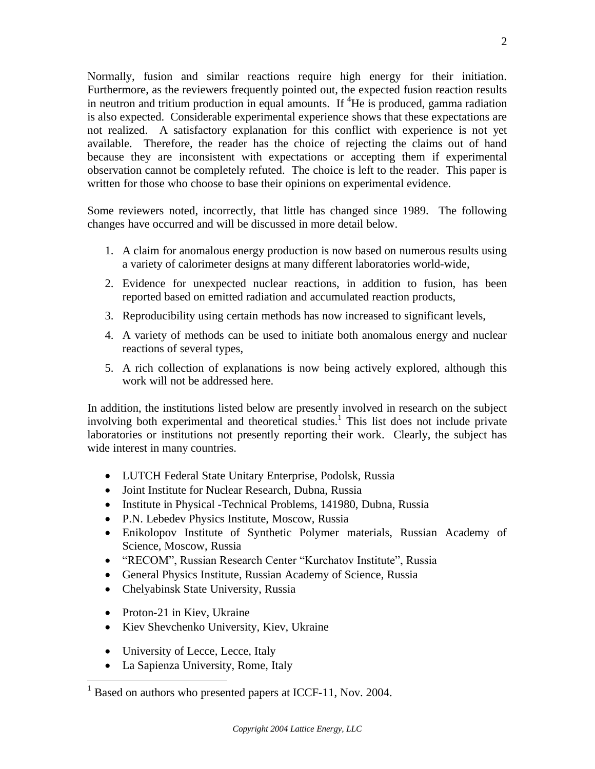Normally, fusion and similar reactions require high energy for their initiation. Furthermore, as the reviewers frequently pointed out, the expected fusion reaction results in neutron and tritium production in equal amounts. If  ${}^{4}$ He is produced, gamma radiation is also expected. Considerable experimental experience shows that these expectations are not realized. A satisfactory explanation for this conflict with experience is not yet available. Therefore, the reader has the choice of rejecting the claims out of hand because they are inconsistent with expectations or accepting them if experimental observation cannot be completely refuted. The choice is left to the reader. This paper is written for those who choose to base their opinions on experimental evidence.

Some reviewers noted, incorrectly, that little has changed since 1989. The following changes have occurred and will be discussed in more detail below.

- 1. A claim for anomalous energy production is now based on numerous results using a variety of calorimeter designs at many different laboratories world-wide,
- 2. Evidence for unexpected nuclear reactions, in addition to fusion, has been reported based on emitted radiation and accumulated reaction products,
- 3. Reproducibility using certain methods has now increased to significant levels,
- 4. A variety of methods can be used to initiate both anomalous energy and nuclear reactions of several types,
- 5. A rich collection of explanations is now being actively explored, although this work will not be addressed here.

In addition, the institutions listed below are presently involved in research on the subject involving both experimental and theoretical studies.<sup>1</sup> This list does not include private laboratories or institutions not presently reporting their work. Clearly, the subject has wide interest in many countries.

- LUTCH Federal State Unitary Enterprise, Podolsk, Russia
- Joint Institute for Nuclear Research, Dubna, Russia
- Institute in Physical -Technical Problems, 141980, Dubna, Russia
- P.N. Lebedev Physics Institute, Moscow, Russia
- Enikolopov Institute of Synthetic Polymer materials, Russian Academy of Science, Moscow, Russia
- "RECOM", Russian Research Center "Kurchatov Institute", Russia
- General Physics Institute, Russian Academy of Science, Russia
- Chelyabinsk State University, Russia
- Proton-21 in Kiev, Ukraine
- Kiev Shevchenko University, Kiev, Ukraine
- University of Lecce, Lecce, Italy
- La Sapienza University, Rome, Italy

<sup>&</sup>lt;sup>1</sup> Based on authors who presented papers at ICCF-11, Nov. 2004.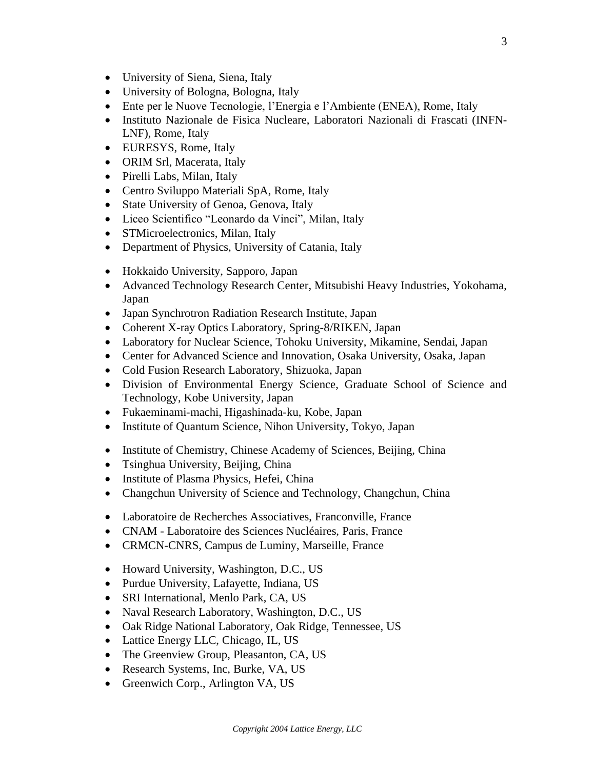- University of Siena, Siena, Italy
- University of Bologna, Bologna, Italy
- Ente per le Nuove Tecnologie, l'Energia e l'Ambiente (ENEA), Rome, Italy
- Instituto Nazionale de Fisica Nucleare, Laboratori Nazionali di Frascati (INFN-LNF), Rome, Italy
- EURESYS, Rome, Italy
- ORIM Srl, Macerata, Italy
- Pirelli Labs, Milan, Italy
- Centro Sviluppo Materiali SpA, Rome, Italy
- State University of Genoa, Genova, Italy
- Liceo Scientifico "Leonardo da Vinci", Milan, Italy
- STMicroelectronics, Milan, Italy
- Department of Physics, University of Catania, Italy
- Hokkaido University, Sapporo, Japan
- Advanced Technology Research Center, Mitsubishi Heavy Industries, Yokohama, Japan
- Japan Synchrotron Radiation Research Institute, Japan
- Coherent X-ray Optics Laboratory, Spring-8/RIKEN, Japan
- Laboratory for Nuclear Science, Tohoku University, Mikamine, Sendai, Japan
- Center for Advanced Science and Innovation, Osaka University, Osaka, Japan
- Cold Fusion Research Laboratory, Shizuoka, Japan
- Division of Environmental Energy Science, Graduate School of Science and Technology, Kobe University, Japan
- Fukaeminami-machi, Higashinada-ku, Kobe, Japan
- Institute of Quantum Science, Nihon University, Tokyo, Japan
- Institute of Chemistry, Chinese Academy of Sciences, Beijing, China
- Tsinghua University, Beijing, China
- Institute of Plasma Physics, Hefei, China
- Changchun University of Science and Technology, Changchun, China
- Laboratoire de Recherches Associatives, Franconville, France
- CNAM Laboratoire des Sciences Nucléaires, Paris, France
- CRMCN-CNRS, Campus de Luminy, Marseille, France
- Howard University, Washington, D.C., US
- Purdue University, Lafayette, Indiana, US
- SRI International, Menlo Park, CA, US
- Naval Research Laboratory, Washington, D.C., US
- Oak Ridge National Laboratory, Oak Ridge, Tennessee, US
- Lattice Energy LLC, Chicago, IL, US
- The Greenview Group, Pleasanton, CA, US
- Research Systems, Inc, Burke, VA, US
- Greenwich Corp., Arlington VA, US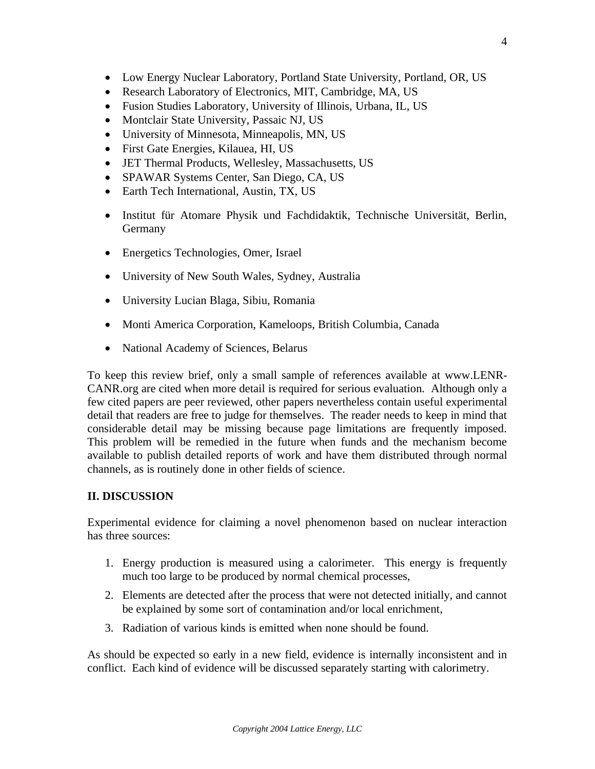- Low Energy Nuclear Laboratory, Portland State University, Portland, OR, US
- Research Laboratory of Electronics, MIT, Cambridge, MA, US
- Fusion Studies Laboratory, University of Illinois, Urbana, IL, US
- Montclair State University, Passaic NJ, US
- University of Minnesota, Minneapolis, MN, US
- First Gate Energies, Kilauea, HI, US
- JET Thermal Products, Wellesley, Massachusetts, US
- SPAWAR Systems Center, San Diego, CA, US
- Earth Tech International, Austin, TX, US
- Institut für Atomare Physik und Fachdidaktik, Technische Universität, Berlin, Germany
- Energetics Technologies, Omer, Israel
- University of New South Wales, Sydney, Australia
- University Lucian Blaga, Sibiu, Romania
- Monti America Corporation, Kameloops, British Columbia, Canada
- National Academy of Sciences, Belarus

To keep this review brief, only a small sample of references available at www.LENR-CANR.org are cited when more detail is required for serious evaluation. Although only a few cited papers are peer reviewed, other papers nevertheless contain useful experimental detail that readers are free to judge for themselves. The reader needs to keep in mind that considerable detail may be missing because page limitations are frequently imposed. This problem will be remedied in the future when funds and the mechanism become available to publish detailed reports of work and have them distributed through normal channels, as is routinely done in other fields of science.

## **II. DISCUSSION**

Experimental evidence for claiming a novel phenomenon based on nuclear interaction has three sources:

- 1. Energy production is measured using a calorimeter. This energy is frequently much too large to be produced by normal chemical processes,
- 2. Elements are detected after the process that were not detected initially, and cannot be explained by some sort of contamination and/or local enrichment,
- 3. Radiation of various kinds is emitted when none should be found.

As should be expected so early in a new field, evidence is internally inconsistent and in conflict. Each kind of evidence will be discussed separately starting with calorimetry.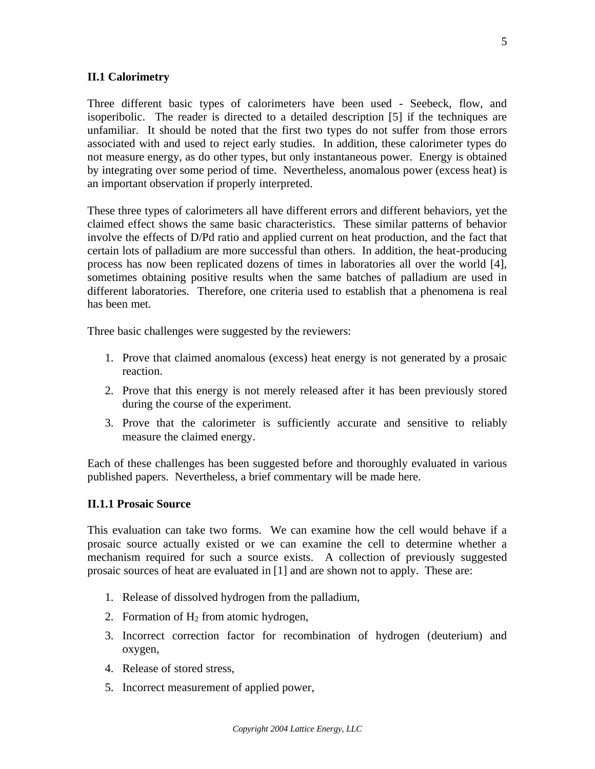## **II.1 Calorimetry**

Three different basic types of calorimeters have been used - Seebeck, flow, and isoperibolic. The reader is directed to a detailed description [5] if the techniques are unfamiliar. It should be noted that the first two types do not suffer from those errors associated with and used to reject early studies. In addition, these calorimeter types do not measure energy, as do other types, but only instantaneous power. Energy is obtained by integrating over some period of time. Nevertheless, anomalous power (excess heat) is an important observation if properly interpreted.

These three types of calorimeters all have different errors and different behaviors, yet the claimed effect shows the same basic characteristics. These similar patterns of behavior involve the effects of D/Pd ratio and applied current on heat production, and the fact that certain lots of palladium are more successful than others. In addition, the heat-producing process has now been replicated dozens of times in laboratories all over the world [4], sometimes obtaining positive results when the same batches of palladium are used in different laboratories. Therefore, one criteria used to establish that a phenomena is real has been met.

Three basic challenges were suggested by the reviewers:

- 1. Prove that claimed anomalous (excess) heat energy is not generated by a prosaic reaction.
- 2. Prove that this energy is not merely released after it has been previously stored during the course of the experiment.
- 3. Prove that the calorimeter is sufficiently accurate and sensitive to reliably measure the claimed energy.

Each of these challenges has been suggested before and thoroughly evaluated in various published papers. Nevertheless, a brief commentary will be made here.

#### **II.1.1 Prosaic Source**

This evaluation can take two forms. We can examine how the cell would behave if a prosaic source actually existed or we can examine the cell to determine whether a mechanism required for such a source exists. A collection of previously suggested prosaic sources of heat are evaluated in [1] and are shown not to apply. These are:

- 1. Release of dissolved hydrogen from the palladium,
- 2. Formation of  $H_2$  from atomic hydrogen,
- 3. Incorrect correction factor for recombination of hydrogen (deuterium) and oxygen,
- 4. Release of stored stress,
- 5. Incorrect measurement of applied power,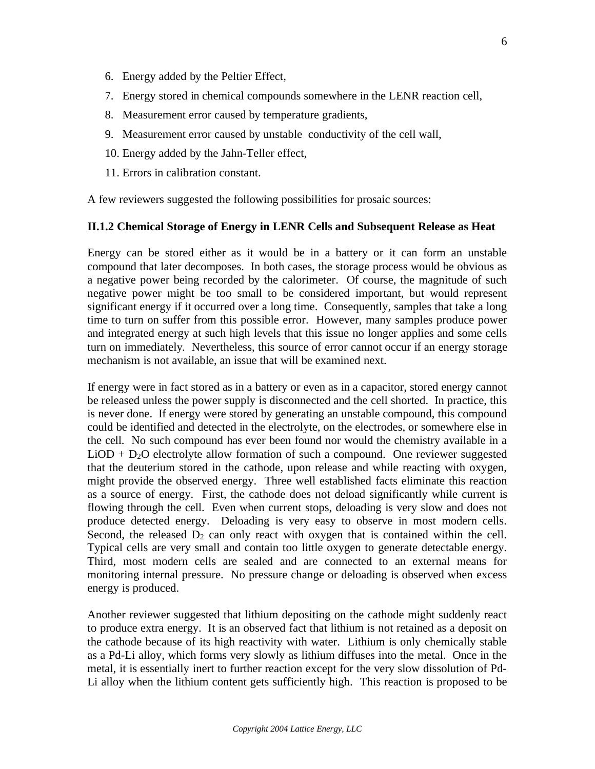- 6. Energy added by the Peltier Effect,
- 7. Energy stored in chemical compounds somewhere in the LENR reaction cell,
- 8. Measurement error caused by temperature gradients,
- 9. Measurement error caused by unstable conductivity of the cell wall,
- 10. Energy added by the Jahn-Teller effect,
- 11. Errors in calibration constant.

A few reviewers suggested the following possibilities for prosaic sources:

#### **II.1.2 Chemical Storage of Energy in LENR Cells and Subsequent Release as Heat**

Energy can be stored either as it would be in a battery or it can form an unstable compound that later decomposes. In both cases, the storage process would be obvious as a negative power being recorded by the calorimeter. Of course, the magnitude of such negative power might be too small to be considered important, but would represent significant energy if it occurred over a long time. Consequently, samples that take a long time to turn on suffer from this possible error. However, many samples produce power and integrated energy at such high levels that this issue no longer applies and some cells turn on immediately. Nevertheless, this source of error cannot occur if an energy storage mechanism is not available, an issue that will be examined next.

If energy were in fact stored as in a battery or even as in a capacitor, stored energy cannot be released unless the power supply is disconnected and the cell shorted. In practice, this is never done. If energy were stored by generating an unstable compound, this compound could be identified and detected in the electrolyte, on the electrodes, or somewhere else in the cell. No such compound has ever been found nor would the chemistry available in a  $LiOD + D<sub>2</sub>O$  electrolyte allow formation of such a compound. One reviewer suggested that the deuterium stored in the cathode, upon release and while reacting with oxygen, might provide the observed energy. Three well established facts eliminate this reaction as a source of energy. First, the cathode does not deload significantly while current is flowing through the cell. Even when current stops, deloading is very slow and does not produce detected energy. Deloading is very easy to observe in most modern cells. Second, the released  $D_2$  can only react with oxygen that is contained within the cell. Typical cells are very small and contain too little oxygen to generate detectable energy. Third, most modern cells are sealed and are connected to an external means for monitoring internal pressure. No pressure change or deloading is observed when excess energy is produced.

Another reviewer suggested that lithium depositing on the cathode might suddenly react to produce extra energy. It is an observed fact that lithium is not retained as a deposit on the cathode because of its high reactivity with water. Lithium is only chemically stable as a Pd-Li alloy, which forms very slowly as lithium diffuses into the metal. Once in the metal, it is essentially inert to further reaction except for the very slow dissolution of Pd-Li alloy when the lithium content gets sufficiently high. This reaction is proposed to be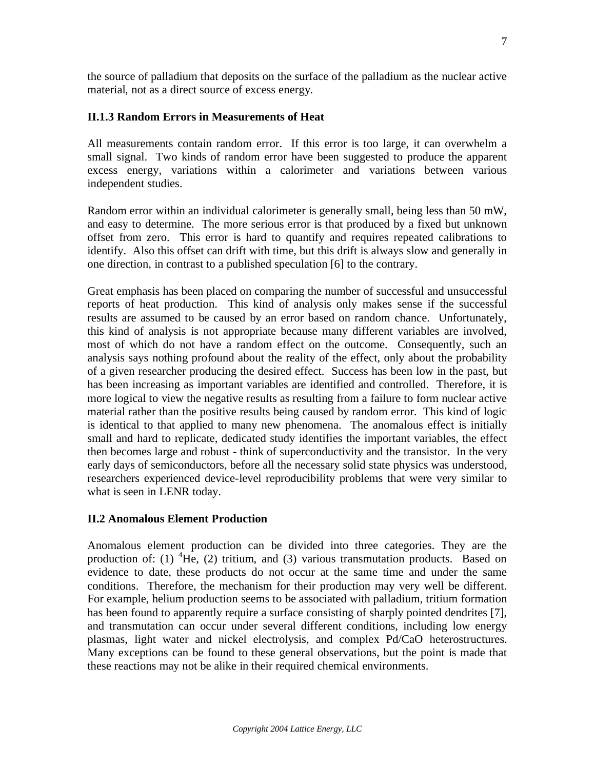the source of palladium that deposits on the surface of the palladium as the nuclear active material, not as a direct source of excess energy.

## **II.1.3 Random Errors in Measurements of Heat**

All measurements contain random error. If this error is too large, it can overwhelm a small signal. Two kinds of random error have been suggested to produce the apparent excess energy, variations within a calorimeter and variations between various independent studies.

Random error within an individual calorimeter is generally small, being less than 50 mW, and easy to determine. The more serious error is that produced by a fixed but unknown offset from zero. This error is hard to quantify and requires repeated calibrations to identify. Also this offset can drift with time, but this drift is always slow and generally in one direction, in contrast to a published speculation [6] to the contrary.

Great emphasis has been placed on comparing the number of successful and unsuccessful reports of heat production. This kind of analysis only makes sense if the successful results are assumed to be caused by an error based on random chance. Unfortunately, this kind of analysis is not appropriate because many different variables are involved, most of which do not have a random effect on the outcome. Consequently, such an analysis says nothing profound about the reality of the effect, only about the probability of a given researcher producing the desired effect. Success has been low in the past, but has been increasing as important variables are identified and controlled. Therefore, it is more logical to view the negative results as resulting from a failure to form nuclear active material rather than the positive results being caused by random error. This kind of logic is identical to that applied to many new phenomena. The anomalous effect is initially small and hard to replicate, dedicated study identifies the important variables, the effect then becomes large and robust - think of superconductivity and the transistor. In the very early days of semiconductors, before all the necessary solid state physics was understood, researchers experienced device-level reproducibility problems that were very similar to what is seen in LENR today.

## **II.2 Anomalous Element Production**

Anomalous element production can be divided into three categories. They are the production of: (1)  ${}^{4}$ He, (2) tritium, and (3) various transmutation products. Based on evidence to date, these products do not occur at the same time and under the same conditions. Therefore, the mechanism for their production may very well be different. For example, helium production seems to be associated with palladium, tritium formation has been found to apparently require a surface consisting of sharply pointed dendrites [7], and transmutation can occur under several different conditions, including low energy plasmas, light water and nickel electrolysis, and complex Pd/CaO heterostructures. Many exceptions can be found to these general observations, but the point is made that these reactions may not be alike in their required chemical environments.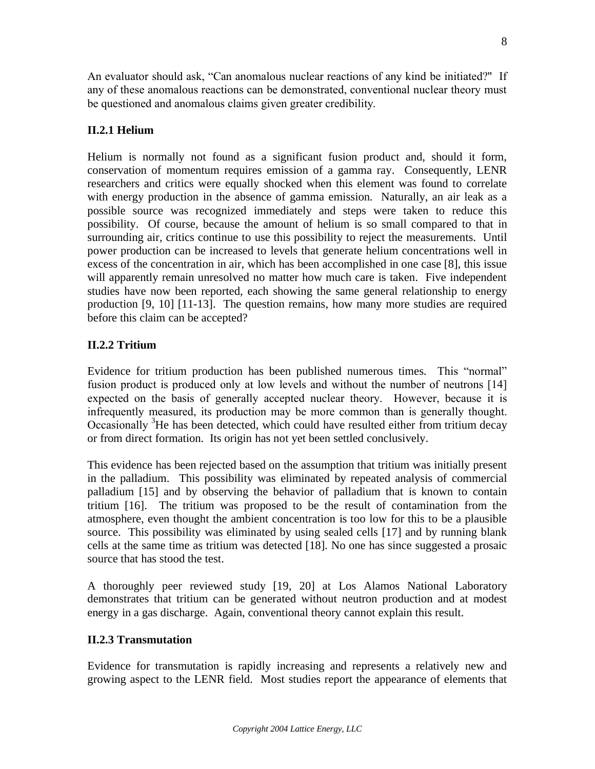An evaluator should ask, "Can anomalous nuclear reactions of any kind be initiated?" If any of these anomalous reactions can be demonstrated, conventional nuclear theory must be questioned and anomalous claims given greater credibility.

## **II.2.1 Helium**

Helium is normally not found as a significant fusion product and, should it form, conservation of momentum requires emission of a gamma ray. Consequently, LENR researchers and critics were equally shocked when this element was found to correlate with energy production in the absence of gamma emission. Naturally, an air leak as a possible source was recognized immediately and steps were taken to reduce this possibility. Of course, because the amount of helium is so small compared to that in surrounding air, critics continue to use this possibility to reject the measurements. Until power production can be increased to levels that generate helium concentrations well in excess of the concentration in air, which has been accomplished in one case [8], this issue will apparently remain unresolved no matter how much care is taken. Five independent studies have now been reported, each showing the same general relationship to energy production [9, 10] [11-13]. The question remains, how many more studies are required before this claim can be accepted?

## **II.2.2 Tritium**

Evidence for tritium production has been published numerous times. This "normal" fusion product is produced only at low levels and without the number of neutrons [14] expected on the basis of generally accepted nuclear theory. However, because it is infrequently measured, its production may be more common than is generally thought. Occasionally <sup>3</sup>He has been detected, which could have resulted either from tritium decay or from direct formation. Its origin has not yet been settled conclusively.

This evidence has been rejected based on the assumption that tritium was initially present in the palladium. This possibility was eliminated by repeated analysis of commercial palladium [15] and by observing the behavior of palladium that is known to contain tritium [16]. The tritium was proposed to be the result of contamination from the atmosphere, even thought the ambient concentration is too low for this to be a plausible source. This possibility was eliminated by using sealed cells [17] and by running blank cells at the same time as tritium was detected [18]. No one has since suggested a prosaic source that has stood the test.

A thoroughly peer reviewed study [19, 20] at Los Alamos National Laboratory demonstrates that tritium can be generated without neutron production and at modest energy in a gas discharge. Again, conventional theory cannot explain this result.

## **II.2.3 Transmutation**

Evidence for transmutation is rapidly increasing and represents a relatively new and growing aspect to the LENR field. Most studies report the appearance of elements that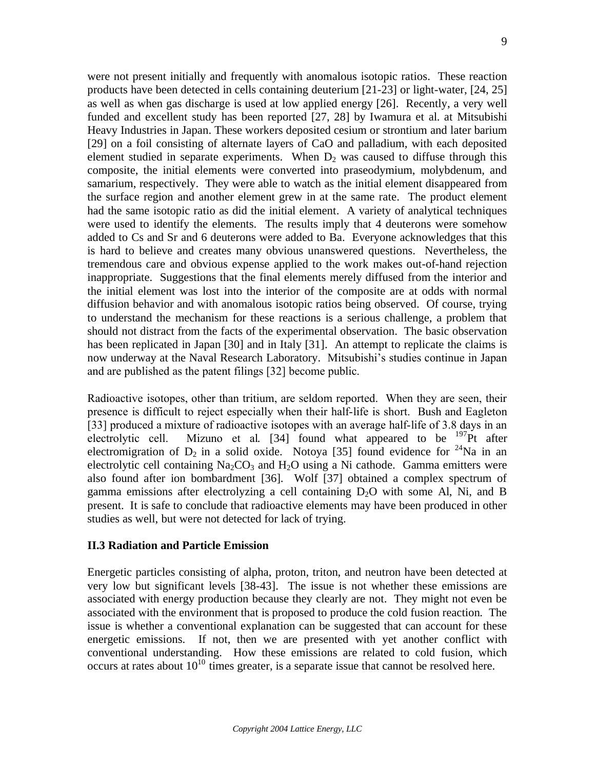were not present initially and frequently with anomalous isotopic ratios. These reaction products have been detected in cells containing deuterium [21-23] or light-water, [24, 25] as well as when gas discharge is used at low applied energy [26]. Recently, a very well funded and excellent study has been reported [27, 28] by Iwamura et al. at Mitsubishi Heavy Industries in Japan. These workers deposited cesium or strontium and later barium [29] on a foil consisting of alternate layers of CaO and palladium, with each deposited element studied in separate experiments. When  $D_2$  was caused to diffuse through this composite, the initial elements were converted into praseodymium, molybdenum, and samarium, respectively. They were able to watch as the initial element disappeared from the surface region and another element grew in at the same rate. The product element had the same isotopic ratio as did the initial element. A variety of analytical techniques were used to identify the elements. The results imply that 4 deuterons were somehow added to Cs and Sr and 6 deuterons were added to Ba. Everyone acknowledges that this is hard to believe and creates many obvious unanswered questions. Nevertheless, the tremendous care and obvious expense applied to the work makes out-of-hand rejection inappropriate. Suggestions that the final elements merely diffused from the interior and the initial element was lost into the interior of the composite are at odds with normal diffusion behavior and with anomalous isotopic ratios being observed. Of course, trying to understand the mechanism for these reactions is a serious challenge, a problem that should not distract from the facts of the experimental observation. The basic observation has been replicated in Japan [30] and in Italy [31]. An attempt to replicate the claims is now underway at the Naval Research Laboratory. Mitsubishi's studies continue in Japan and are published as the patent filings [32] become public.

Radioactive isotopes, other than tritium, are seldom reported. When they are seen, their presence is difficult to reject especially when their half-life is short. Bush and Eagleton [33] produced a mixture of radioactive isotopes with an average half-life of 3.8 days in an electrolytic cell. Mizuno et al. [34] found what appeared to be <sup>197</sup>Pt after electromigration of  $D_2$  in a solid oxide. Notoya [35] found evidence for <sup>24</sup>Na in an electrolytic cell containing  $Na<sub>2</sub>CO<sub>3</sub>$  and  $H<sub>2</sub>O$  using a Ni cathode. Gamma emitters were also found after ion bombardment [36]. Wolf [37] obtained a complex spectrum of gamma emissions after electrolyzing a cell containing  $D_2O$  with some Al, Ni, and B present. It is safe to conclude that radioactive elements may have been produced in other studies as well, but were not detected for lack of trying.

#### **II.3 Radiation and Particle Emission**

Energetic particles consisting of alpha, proton, triton, and neutron have been detected at very low but significant levels [38-43]. The issue is not whether these emissions are associated with energy production because they clearly are not. They might not even be associated with the environment that is proposed to produce the cold fusion reaction. The issue is whether a conventional explanation can be suggested that can account for these energetic emissions. If not, then we are presented with yet another conflict with conventional understanding. How these emissions are related to cold fusion, which occurs at rates about  $10^{10}$  times greater, is a separate issue that cannot be resolved here.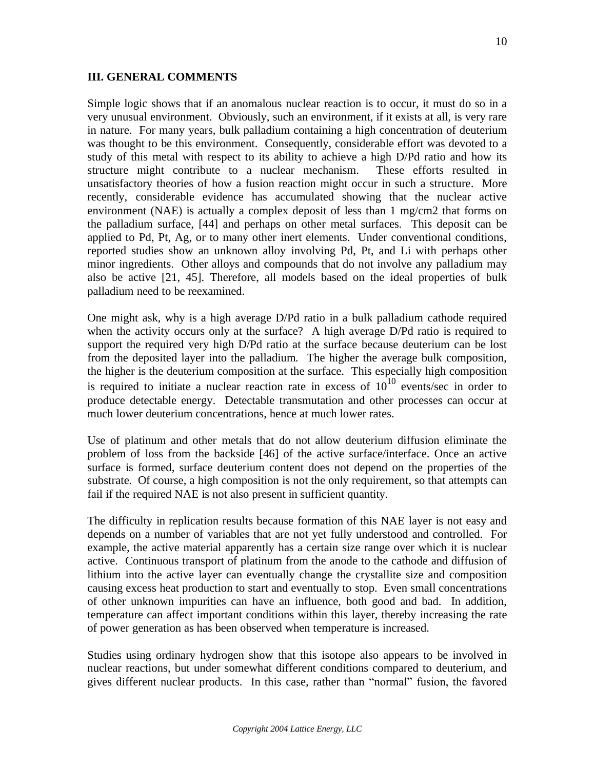#### **III. GENERAL COMMENTS**

Simple logic shows that if an anomalous nuclear reaction is to occur, it must do so in a very unusual environment. Obviously, such an environment, if it exists at all, is very rare in nature. For many years, bulk palladium containing a high concentration of deuterium was thought to be this environment. Consequently, considerable effort was devoted to a study of this metal with respect to its ability to achieve a high D/Pd ratio and how its structure might contribute to a nuclear mechanism. These efforts resulted in unsatisfactory theories of how a fusion reaction might occur in such a structure. More recently, considerable evidence has accumulated showing that the nuclear active environment (NAE) is actually a complex deposit of less than 1 mg/cm2 that forms on the palladium surface, [44] and perhaps on other metal surfaces. This deposit can be applied to Pd, Pt, Ag, or to many other inert elements. Under conventional conditions, reported studies show an unknown alloy involving Pd, Pt, and Li with perhaps other minor ingredients. Other alloys and compounds that do not involve any palladium may also be active [21, 45]. Therefore, all models based on the ideal properties of bulk palladium need to be reexamined.

One might ask, why is a high average D/Pd ratio in a bulk palladium cathode required when the activity occurs only at the surface? A high average D/Pd ratio is required to support the required very high D/Pd ratio at the surface because deuterium can be lost from the deposited layer into the palladium. The higher the average bulk composition, the higher is the deuterium composition at the surface. This especially high composition is required to initiate a nuclear reaction rate in excess of  $10^{10}$  events/sec in order to produce detectable energy. Detectable transmutation and other processes can occur at much lower deuterium concentrations, hence at much lower rates.

Use of platinum and other metals that do not allow deuterium diffusion eliminate the problem of loss from the backside [46] of the active surface/interface. Once an active surface is formed, surface deuterium content does not depend on the properties of the substrate. Of course, a high composition is not the only requirement, so that attempts can fail if the required NAE is not also present in sufficient quantity.

The difficulty in replication results because formation of this NAE layer is not easy and depends on a number of variables that are not yet fully understood and controlled. For example, the active material apparently has a certain size range over which it is nuclear active. Continuous transport of platinum from the anode to the cathode and diffusion of lithium into the active layer can eventually change the crystallite size and composition causing excess heat production to start and eventually to stop. Even small concentrations of other unknown impurities can have an influence, both good and bad. In addition, temperature can affect important conditions within this layer, thereby increasing the rate of power generation as has been observed when temperature is increased.

Studies using ordinary hydrogen show that this isotope also appears to be involved in nuclear reactions, but under somewhat different conditions compared to deuterium, and gives different nuclear products. In this case, rather than "normal" fusion, the favored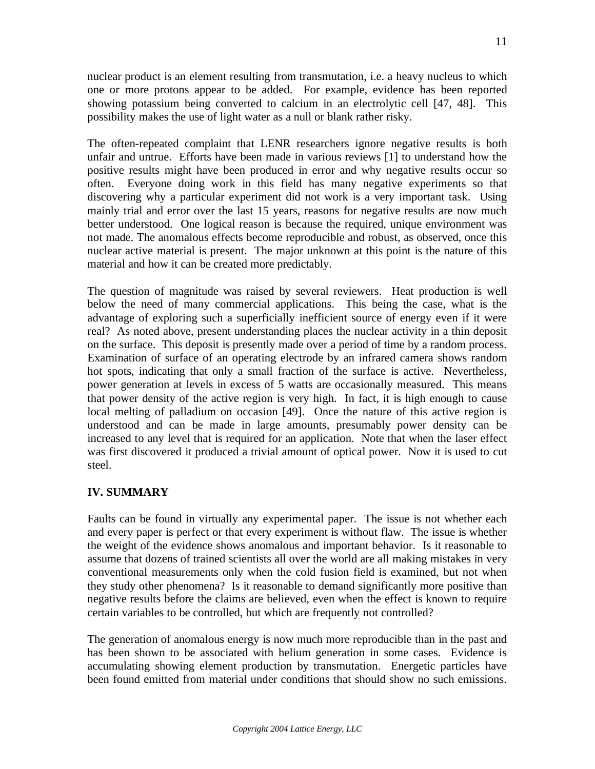nuclear product is an element resulting from transmutation, i.e. a heavy nucleus to which one or more protons appear to be added. For example, evidence has been reported showing potassium being converted to calcium in an electrolytic cell [47, 48]. This possibility makes the use of light water as a null or blank rather risky.

The often-repeated complaint that LENR researchers ignore negative results is both unfair and untrue. Efforts have been made in various reviews [1] to understand how the positive results might have been produced in error and why negative results occur so often. Everyone doing work in this field has many negative experiments so that discovering why a particular experiment did not work is a very important task. Using mainly trial and error over the last 15 years, reasons for negative results are now much better understood. One logical reason is because the required, unique environment was not made. The anomalous effects become reproducible and robust, as observed, once this nuclear active material is present. The major unknown at this point is the nature of this material and how it can be created more predictably.

The question of magnitude was raised by several reviewers. Heat production is well below the need of many commercial applications. This being the case, what is the advantage of exploring such a superficially inefficient source of energy even if it were real? As noted above, present understanding places the nuclear activity in a thin deposit on the surface. This deposit is presently made over a period of time by a random process. Examination of surface of an operating electrode by an infrared camera shows random hot spots, indicating that only a small fraction of the surface is active. Nevertheless, power generation at levels in excess of 5 watts are occasionally measured. This means that power density of the active region is very high. In fact, it is high enough to cause local melting of palladium on occasion [49]. Once the nature of this active region is understood and can be made in large amounts, presumably power density can be increased to any level that is required for an application. Note that when the laser effect was first discovered it produced a trivial amount of optical power. Now it is used to cut steel.

## **IV. SUMMARY**

Faults can be found in virtually any experimental paper. The issue is not whether each and every paper is perfect or that every experiment is without flaw. The issue is whether the weight of the evidence shows anomalous and important behavior. Is it reasonable to assume that dozens of trained scientists all over the world are all making mistakes in very conventional measurements only when the cold fusion field is examined, but not when they study other phenomena? Is it reasonable to demand significantly more positive than negative results before the claims are believed, even when the effect is known to require certain variables to be controlled, but which are frequently not controlled?

The generation of anomalous energy is now much more reproducible than in the past and has been shown to be associated with helium generation in some cases. Evidence is accumulating showing element production by transmutation. Energetic particles have been found emitted from material under conditions that should show no such emissions.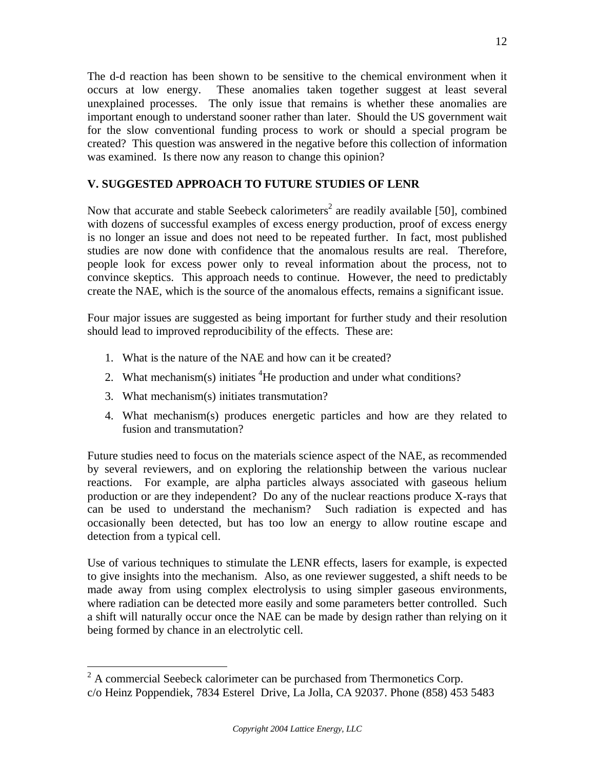The d-d reaction has been shown to be sensitive to the chemical environment when it occurs at low energy. These anomalies taken together suggest at least several unexplained processes. The only issue that remains is whether these anomalies are important enough to understand sooner rather than later. Should the US government wait for the slow conventional funding process to work or should a special program be created? This question was answered in the negative before this collection of information was examined. Is there now any reason to change this opinion?

# **V. SUGGESTED APPROACH TO FUTURE STUDIES OF LENR**

Now that accurate and stable Seebeck calorimeters<sup>2</sup> are readily available [50], combined with dozens of successful examples of excess energy production, proof of excess energy is no longer an issue and does not need to be repeated further. In fact, most published studies are now done with confidence that the anomalous results are real. Therefore, people look for excess power only to reveal information about the process, not to convince skeptics. This approach needs to continue. However, the need to predictably create the NAE, which is the source of the anomalous effects, remains a significant issue.

Four major issues are suggested as being important for further study and their resolution should lead to improved reproducibility of the effects. These are:

- 1. What is the nature of the NAE and how can it be created?
- 2. What mechanism(s) initiates  ${}^{4}$ He production and under what conditions?
- 3. What mechanism(s) initiates transmutation?
- 4. What mechanism(s) produces energetic particles and how are they related to fusion and transmutation?

Future studies need to focus on the materials science aspect of the NAE, as recommended by several reviewers, and on exploring the relationship between the various nuclear reactions. For example, are alpha particles always associated with gaseous helium production or are they independent? Do any of the nuclear reactions produce X-rays that can be used to understand the mechanism? Such radiation is expected and has occasionally been detected, but has too low an energy to allow routine escape and detection from a typical cell.

Use of various techniques to stimulate the LENR effects, lasers for example, is expected to give insights into the mechanism. Also, as one reviewer suggested, a shift needs to be made away from using complex electrolysis to using simpler gaseous environments, where radiation can be detected more easily and some parameters better controlled. Such a shift will naturally occur once the NAE can be made by design rather than relying on it being formed by chance in an electrolytic cell.

 $2^2$  A commercial Seebeck calorimeter can be purchased from Thermonetics Corp. c/o Heinz Poppendiek, 7834 Esterel Drive, La Jolla, CA 92037. Phone (858) 453 5483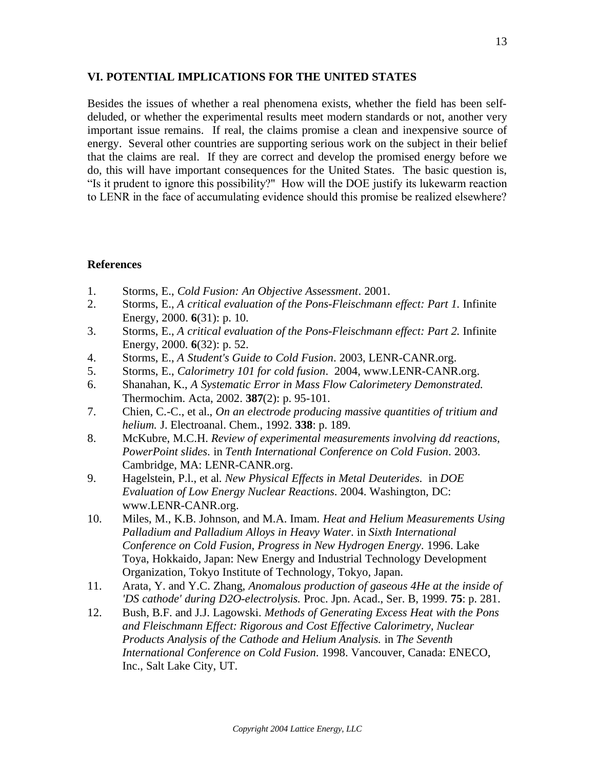### **VI. POTENTIAL IMPLICATIONS FOR THE UNITED STATES**

Besides the issues of whether a real phenomena exists, whether the field has been selfdeluded, or whether the experimental results meet modern standards or not, another very important issue remains. If real, the claims promise a clean and inexpensive source of energy. Several other countries are supporting serious work on the subject in their belief that the claims are real. If they are correct and develop the promised energy before we do, this will have important consequences for the United States. The basic question is, "Is it prudent to ignore this possibility?" How will the DOE justify its lukewarm reaction to LENR in the face of accumulating evidence should this promise be realized elsewhere?

## **References**

- 1. Storms, E., *Cold Fusion: An Objective Assessment*. 2001.
- 2. Storms, E., *A critical evaluation of the Pons-Fleischmann effect: Part 1.* Infinite Energy, 2000. **6**(31): p. 10.
- 3. Storms, E., *A critical evaluation of the Pons-Fleischmann effect: Part 2.* Infinite Energy, 2000. **6**(32): p. 52.
- 4. Storms, E., *A Student's Guide to Cold Fusion*. 2003, LENR-CANR.org.
- 5. Storms, E., *Calorimetry 101 for cold fusion*. 2004, www.LENR-CANR.org.
- 6. Shanahan, K., *A Systematic Error in Mass Flow Calorimetery Demonstrated.* Thermochim. Acta, 2002. **387**(2): p. 95-101.
- 7. Chien, C.-C., et al., *On an electrode producing massive quantities of tritium and helium.* J. Electroanal. Chem., 1992. **338**: p. 189.
- 8. McKubre, M.C.H. *Review of experimental measurements involving dd reactions, PowerPoint slides*. in *Tenth International Conference on Cold Fusion*. 2003. Cambridge, MA: LENR-CANR.org.
- 9. Hagelstein, P.l., et al. *New Physical Effects in Metal Deuterides*. in *DOE Evaluation of Low Energy Nuclear Reactions*. 2004. Washington, DC: www.LENR-CANR.org.
- 10. Miles, M., K.B. Johnson, and M.A. Imam. *Heat and Helium Measurements Using Palladium and Palladium Alloys in Heavy Water*. in *Sixth International Conference on Cold Fusion, Progress in New Hydrogen Energy*. 1996. Lake Toya, Hokkaido, Japan: New Energy and Industrial Technology Development Organization, Tokyo Institute of Technology, Tokyo, Japan.
- 11. Arata, Y. and Y.C. Zhang, *Anomalous production of gaseous 4He at the inside of 'DS cathode' during D2O-electrolysis.* Proc. Jpn. Acad., Ser. B, 1999. **75**: p. 281.
- 12. Bush, B.F. and J.J. Lagowski. *Methods of Generating Excess Heat with the Pons and Fleischmann Effect: Rigorous and Cost Effective Calorimetry, Nuclear Products Analysis of the Cathode and Helium Analysis.* in *The Seventh International Conference on Cold Fusion*. 1998. Vancouver, Canada: ENECO, Inc., Salt Lake City, UT.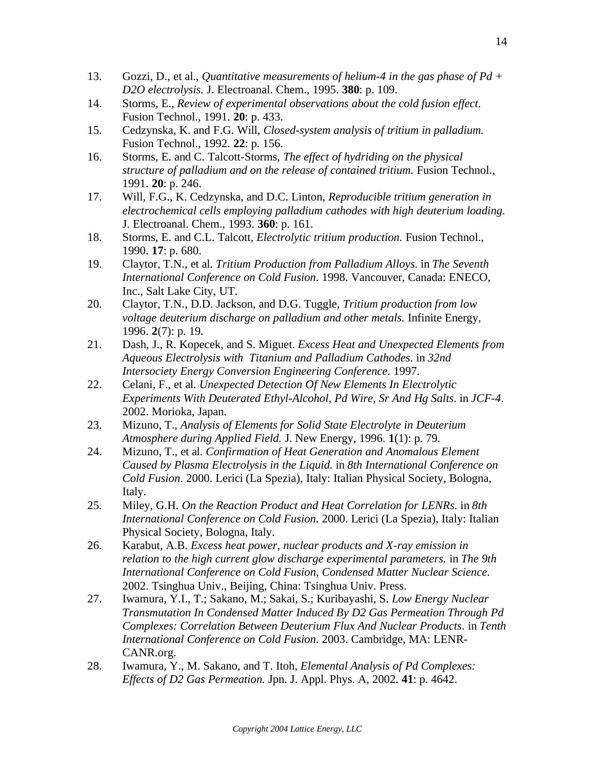- 13. Gozzi, D., et al., *Quantitative measurements of helium-4 in the gas phase of Pd + D2O electrolysis.* J. Electroanal. Chem., 1995. **380**: p. 109.
- 14. Storms, E., *Review of experimental observations about the cold fusion effect.* Fusion Technol., 1991. **20**: p. 433.
- 15. Cedzynska, K. and F.G. Will, *Closed-system analysis of tritium in palladium.* Fusion Technol., 1992. **22**: p. 156.
- 16. Storms, E. and C. Talcott-Storms, *The effect of hydriding on the physical structure of palladium and on the release of contained tritium.* Fusion Technol., 1991. **20**: p. 246.
- 17. Will, F.G., K. Cedzynska, and D.C. Linton, *Reproducible tritium generation in electrochemical cells employing palladium cathodes with high deuterium loading.* J. Electroanal. Chem., 1993. **360**: p. 161.
- 18. Storms, E. and C.L. Talcott, *Electrolytic tritium production.* Fusion Technol., 1990. **17**: p. 680.
- 19. Claytor, T.N., et al. *Tritium Production from Palladium Alloys*. in *The Seventh International Conference on Cold Fusion*. 1998. Vancouver, Canada: ENECO, Inc., Salt Lake City, UT.
- 20. Claytor, T.N., D.D. Jackson, and D.G. Tuggle, *Tritium production from low voltage deuterium discharge on palladium and other metals.* Infinite Energy, 1996. **2**(7): p. 19.
- 21. Dash, J., R. Kopecek, and S. Miguet. *Excess Heat and Unexpected Elements from Aqueous Electrolysis with Titanium and Palladium Cathodes*. in *32nd Intersociety Energy Conversion Engineering Conference*. 1997.
- 22. Celani, F., et al. *Unexpected Detection Of New Elements In Electrolytic Experiments With Deuterated Ethyl-Alcohol, Pd Wire, Sr And Hg Salts*. in *JCF-4*. 2002. Morioka, Japan.
- 23. Mizuno, T., *Analysis of Elements for Solid State Electrolyte in Deuterium Atmosphere during Applied Field.* J. New Energy, 1996. **1**(1): p. 79.
- 24. Mizuno, T., et al. *Confirmation of Heat Generation and Anomalous Element Caused by Plasma Electrolysis in the Liquid*. in *8th International Conference on Cold Fusion*. 2000. Lerici (La Spezia), Italy: Italian Physical Society, Bologna, Italy.
- 25. Miley, G.H. *On the Reaction Product and Heat Correlation for LENRs*. in *8th International Conference on Cold Fusion*. 2000. Lerici (La Spezia), Italy: Italian Physical Society, Bologna, Italy.
- 26. Karabut, A.B. *Excess heat power, nuclear products and X-ray emission in relation to the high current glow discharge experimental parameters.* in *The 9th International Conference on Cold Fusion, Condensed Matter Nuclear Science*. 2002. Tsinghua Univ., Beijing, China: Tsinghua Univ. Press.
- 27. Iwamura, Y.I., T.; Sakano, M.; Sakai, S.; Kuribayashi, S. *Low Energy Nuclear Transmutation In Condensed Matter Induced By D2 Gas Permeation Through Pd Complexes: Correlation Between Deuterium Flux And Nuclear Products*. in *Tenth International Conference on Cold Fusion*. 2003. Cambridge, MA: LENR-CANR.org.
- 28. Iwamura, Y., M. Sakano, and T. Itoh, *Elemental Analysis of Pd Complexes: Effects of D2 Gas Permeation.* Jpn. J. Appl. Phys. A, 2002. **41**: p. 4642.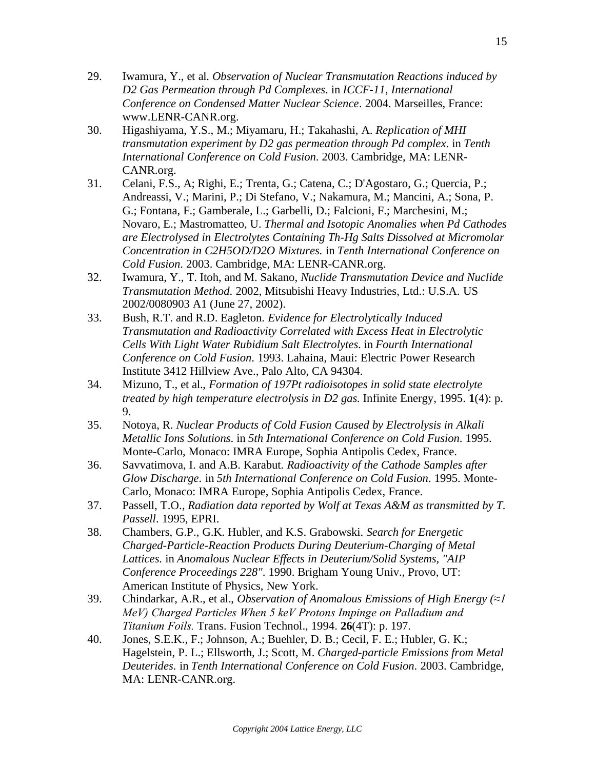- 29. Iwamura, Y., et al. *Observation of Nuclear Transmutation Reactions induced by D2 Gas Permeation through Pd Complexes*. in *ICCF-11, International Conference on Condensed Matter Nuclear Science*. 2004. Marseilles, France: www.LENR-CANR.org.
- 30. Higashiyama, Y.S., M.; Miyamaru, H.; Takahashi, A. *Replication of MHI transmutation experiment by D2 gas permeation through Pd complex*. in *Tenth International Conference on Cold Fusion*. 2003. Cambridge, MA: LENR-CANR.org.
- 31. Celani, F.S., A; Righi, E.; Trenta, G.; Catena, C.; D'Agostaro, G.; Quercia, P.; Andreassi, V.; Marini, P.; Di Stefano, V.; Nakamura, M.; Mancini, A.; Sona, P. G.; Fontana, F.; Gamberale, L.; Garbelli, D.; Falcioni, F.; Marchesini, M.; Novaro, E.; Mastromatteo, U. *Thermal and Isotopic Anomalies when Pd Cathodes are Electrolysed in Electrolytes Containing Th-Hg Salts Dissolved at Micromolar Concentration in C2H5OD/D2O Mixtures*. in *Tenth International Conference on Cold Fusion*. 2003. Cambridge, MA: LENR-CANR.org.
- 32. Iwamura, Y., T. Itoh, and M. Sakano, *Nuclide Transmutation Device and Nuclide Transmutation Method*. 2002, Mitsubishi Heavy Industries, Ltd.: U.S.A. US 2002/0080903 A1 (June 27, 2002).
- 33. Bush, R.T. and R.D. Eagleton. *Evidence for Electrolytically Induced Transmutation and Radioactivity Correlated with Excess Heat in Electrolytic Cells With Light Water Rubidium Salt Electrolytes*. in *Fourth International Conference on Cold Fusion*. 1993. Lahaina, Maui: Electric Power Research Institute 3412 Hillview Ave., Palo Alto, CA 94304.
- 34. Mizuno, T., et al., *Formation of 197Pt radioisotopes in solid state electrolyte treated by high temperature electrolysis in D2 gas.* Infinite Energy, 1995. **1**(4): p. 9.
- 35. Notoya, R. *Nuclear Products of Cold Fusion Caused by Electrolysis in Alkali Metallic Ions Solutions*. in *5th International Conference on Cold Fusion*. 1995. Monte-Carlo, Monaco: IMRA Europe, Sophia Antipolis Cedex, France.
- 36. Savvatimova, I. and A.B. Karabut. *Radioactivity of the Cathode Samples after Glow Discharge*. in *5th International Conference on Cold Fusion*. 1995. Monte-Carlo, Monaco: IMRA Europe, Sophia Antipolis Cedex, France.
- 37. Passell, T.O., *Radiation data reported by Wolf at Texas A&M as transmitted by T. Passell*. 1995, EPRI.
- 38. Chambers, G.P., G.K. Hubler, and K.S. Grabowski. *Search for Energetic Charged-Particle-Reaction Products During Deuterium-Charging of Metal Lattices*. in *Anomalous Nuclear Effects in Deuterium/Solid Systems, "AIP Conference Proceedings 228"*. 1990. Brigham Young Univ., Provo, UT: American Institute of Physics, New York.
- 39. Chindarkar, A.R., et al., *Observation of Anomalous Emissions of High Energy (≈1 MeV) Charged Particles When 5 keV Protons Impinge on Palladium and Titanium Foils.* Trans. Fusion Technol., 1994. **26**(4T): p. 197.
- 40. Jones, S.E.K., F.; Johnson, A.; Buehler, D. B.; Cecil, F. E.; Hubler, G. K.; Hagelstein, P. L.; Ellsworth, J.; Scott, M. *Charged-particle Emissions from Metal Deuterides*. in *Tenth International Conference on Cold Fusion*. 2003. Cambridge, MA: LENR-CANR.org.